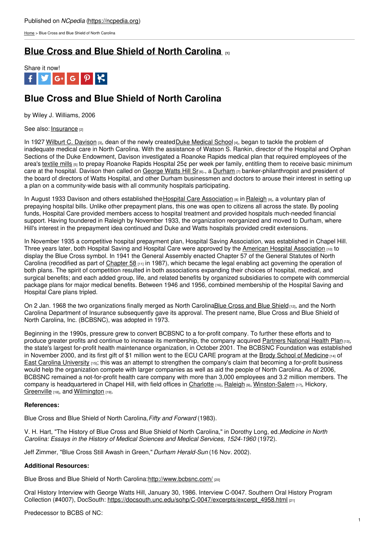[Home](https://ncpedia.org/) > Blue Cross and Blue Shield of North Carolina

## **Blue Cross and Blue Shield of North [Carolina](https://ncpedia.org/blue-cross-and-blue-shield-north-ca) [1]**



# **Blue Cross and Blue Shield of North Carolina**

by Wiley J. Williams, 2006

See also: [Insurance](https://ncpedia.org/insurance) [2]

In 1927 Wilburt C. [Davison](https://ncpedia.org/biography/davison-wilburt-cornell) [3], dean of the newly created Duke [Medical](http://medschool.duke.edu/) School [4], began to tackle the problem of inadequate medical care in North Carolina. With the assistance of Watson S. Rankin, director of the Hospital and Orphan Sections of the Duke Endowment, Davison investigated a Roanoke Rapids medical plan that required employees of the area's [textile](https://ncpedia.org/textiles/mill-villages/life) mills [5] to prepay Roanoke Rapids Hospital 25¢ per week per family, entitling them to receive basic minimum care at the hospital. Davison then called on [George](http://www.social9.com) Watts Hill Sr<sub>[6]</sub>., a [Durham](https://ncpedia.org/geography/durham-city)  $\overline{p_1}$  banker-philanthropist and president of the board of directors of Watts Hospital, and other Durham businessmen and doctors to arouse their interest in setting up a plan on a community-wide basis with all community hospitals participating.

In August 1933 Davison and others established the Hospital Care [Association](http://cspcs.sanford.duke.edu/sites/default/files/descriptive/predecessor_to_blue_cross_and_blue_shield.pdf) [8] in [Raleigh](https://ncpedia.org/geography/raleigh) [9], a voluntary plan of prepaying hospital bills. Unlike other prepayment plans, this one was open to citizens all across the state. By pooling funds, Hospital Care provided members access to hospital treatment and provided hospitals much-needed financial support. Having foundered in Raleigh by November 1933, the organization reorganized and moved to Durham, where Hill's interest in the prepayment idea continued and Duke and Watts hospitals provided credit extensions.

In November 1935 a competitive hospital prepayment plan, Hospital Saving Association, was established in Chapel Hill. Three years later, both Hospital Saving and Hospital Care were approved by the American Hospital [Association](http://www.aha.org/) [10] to display the Blue Cross symbol. In 1941 the General Assembly enacted Chapter 57 of the General Statutes of North Carolina (recodified as part of [Chapter](https://www.ncleg.net/EnactedLegislation/Statutes/HTML/ByChapter/Chapter_58.html) 58 [11] in 1987), which became the legal enabling act governing the operation of both plans. The spirit of competition resulted in both associations expanding their choices of hospital, medical, and surgical benefits; and each added group, life, and related benefits by organized subsidiaries to compete with commercial package plans for major medical benefits. Between 1946 and 1956, combined membership of the Hospital Saving and Hospital Care plans tripled.

On 2 Jan. 1968 the two organizations finally merged as North CarolinaBlue Cross and Blue [Shield](http://www.bcbs.com/) [12], and the North Carolina Department of Insurance subsequently gave its approval. The present name, Blue Cross and Blue Shield of North Carolina, Inc. (BCBSNC), was adopted in 1973.

Beginning in the 1990s, pressure grew to convert BCBSNC to a for-profit company. To further these efforts and to produce greater profits and continue to increase its membership, the company acquired [Partners](http://www.bcbsnc.com/assets/providers/public/pdfs/PARTNERS.pdf) National Health Plan [13], the state's largest for-profit health maintenance organization, in October 2001. The BCBSNC Foundation was established in November 2000, and its first gift of \$1 million went to the ECU CARE program at the Brody School of [Medicine](https://www.ecu.edu/cs-dhs/med/) [14] of East Carolina [University](https://ncpedia.org/east-carolina-university) [15]; this was an attempt to strengthen the company's claim that becoming a for-profit business would help the organization compete with larger companies as well as aid the people of North Carolina. As of 2006, BCBSNC remained a not-for-profit health care company with more than 3,000 employees and 3.2 million members. The company is headquartered in Chapel Hill, with field offices in [Charlotte](https://ncpedia.org/geography/charlotte)  $_{16}$ , [Raleigh](https://ncpedia.org/geography/raleigh)  $_{[9]}$ , [Winston-Salem](https://ncpedia.org/geography/winston-salem)  $_{17}$ , Hickory, [Greenville](https://ncpedia.org/greenville) [18], and [Wilmington](https://ncpedia.org/geography/wilmington) [19].

### **References:**

Blue Cross and Blue Shield of North Carolina,*Fifty and Forward* (1983).

V. H. Hart, "The History of Blue Cross and Blue Shield of North Carolina," in Dorothy Long, ed.,*Medicine in North Carolina: Essays in the History of Medical Sciences and Medical Services, 1524-1960* (1972).

Jeff Zimmer, "Blue Cross Still Awash in Green," *Durham Herald-Sun* (16 Nov. 2002).

### **Additional Resources:**

Blue Bross and Blue Shield of North Carolina[:http://www.bcbsnc.com/](http://www.bcbsnc.com/) [20]

Oral History Interview with George Watts Hill, January 30, 1986. Interview C-0047. Southern Oral History Program Collection (#4007), DocSouth: [https://docsouth.unc.edu/sohp/C-0047/excerpts/excerpt\\_4958.html](https://docsouth.unc.edu/sohp/C-0047/excerpts/excerpt_4958.html) [21]